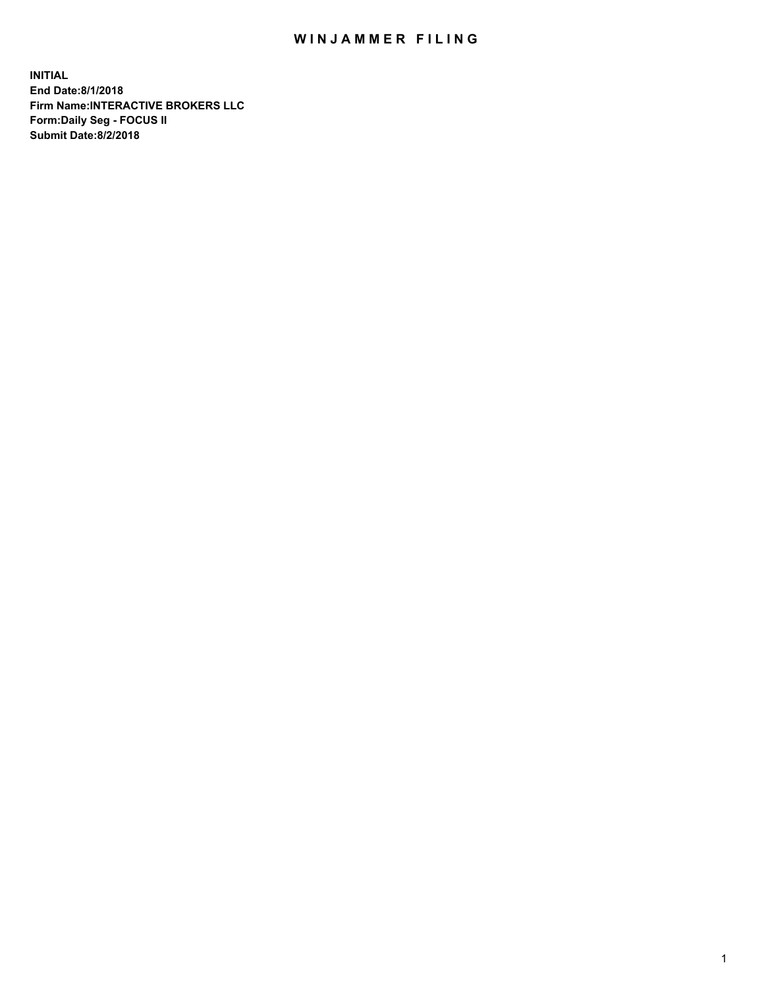## WIN JAMMER FILING

**INITIAL End Date:8/1/2018 Firm Name:INTERACTIVE BROKERS LLC Form:Daily Seg - FOCUS II Submit Date:8/2/2018**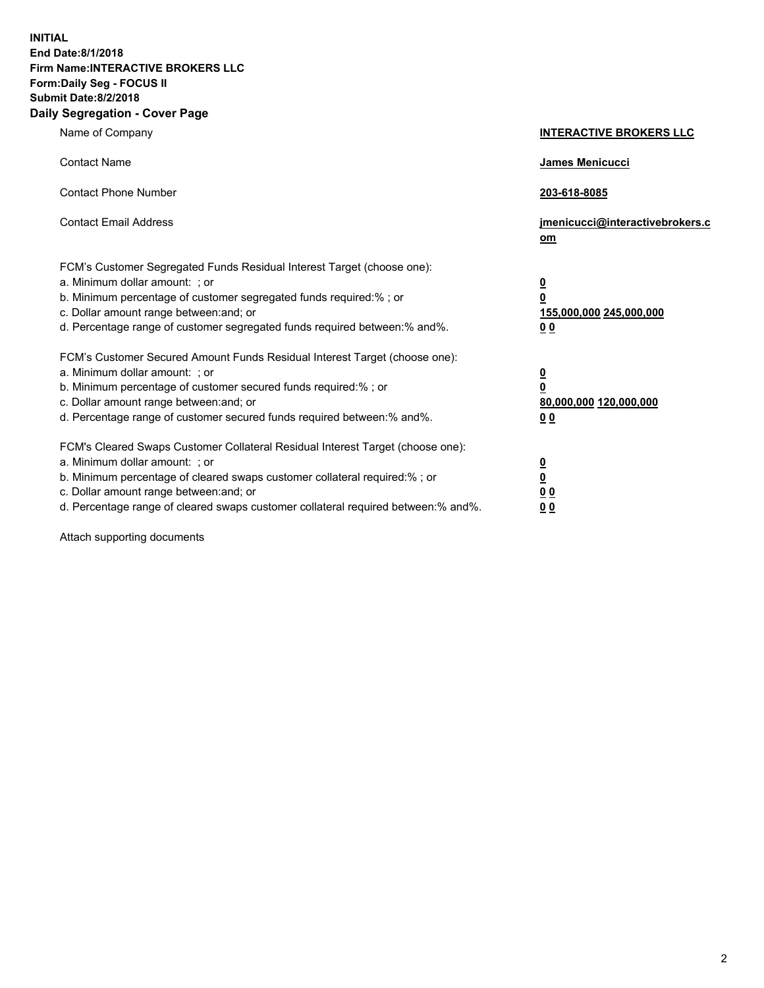**INITIAL End Date:8/1/2018 Firm Name:INTERACTIVE BROKERS LLC Form:Daily Seg - FOCUS II Submit Date:8/2/2018 Daily Segregation - Cover Page**

| Name of Company                                                                                                                                                                                                                                                                                                                | <b>INTERACTIVE BROKERS LLC</b>                                                      |
|--------------------------------------------------------------------------------------------------------------------------------------------------------------------------------------------------------------------------------------------------------------------------------------------------------------------------------|-------------------------------------------------------------------------------------|
| <b>Contact Name</b>                                                                                                                                                                                                                                                                                                            | James Menicucci                                                                     |
| <b>Contact Phone Number</b>                                                                                                                                                                                                                                                                                                    | 203-618-8085                                                                        |
| <b>Contact Email Address</b>                                                                                                                                                                                                                                                                                                   | jmenicucci@interactivebrokers.c<br>om                                               |
| FCM's Customer Segregated Funds Residual Interest Target (choose one):<br>a. Minimum dollar amount: ; or<br>b. Minimum percentage of customer segregated funds required:% ; or<br>c. Dollar amount range between: and; or<br>d. Percentage range of customer segregated funds required between:% and%.                         | $\overline{\mathbf{0}}$<br>$\overline{\mathbf{0}}$<br>155,000,000 245,000,000<br>00 |
| FCM's Customer Secured Amount Funds Residual Interest Target (choose one):<br>a. Minimum dollar amount: ; or<br>b. Minimum percentage of customer secured funds required:% ; or<br>c. Dollar amount range between: and; or<br>d. Percentage range of customer secured funds required between:% and%.                           | $\overline{\mathbf{0}}$<br>$\pmb{0}$<br>80,000,000 120,000,000<br>00                |
| FCM's Cleared Swaps Customer Collateral Residual Interest Target (choose one):<br>a. Minimum dollar amount: ; or<br>b. Minimum percentage of cleared swaps customer collateral required:% ; or<br>c. Dollar amount range between: and; or<br>d. Percentage range of cleared swaps customer collateral required between:% and%. | $\overline{\mathbf{0}}$<br>$\underline{\mathbf{0}}$<br>0 <sub>0</sub><br>00         |

Attach supporting documents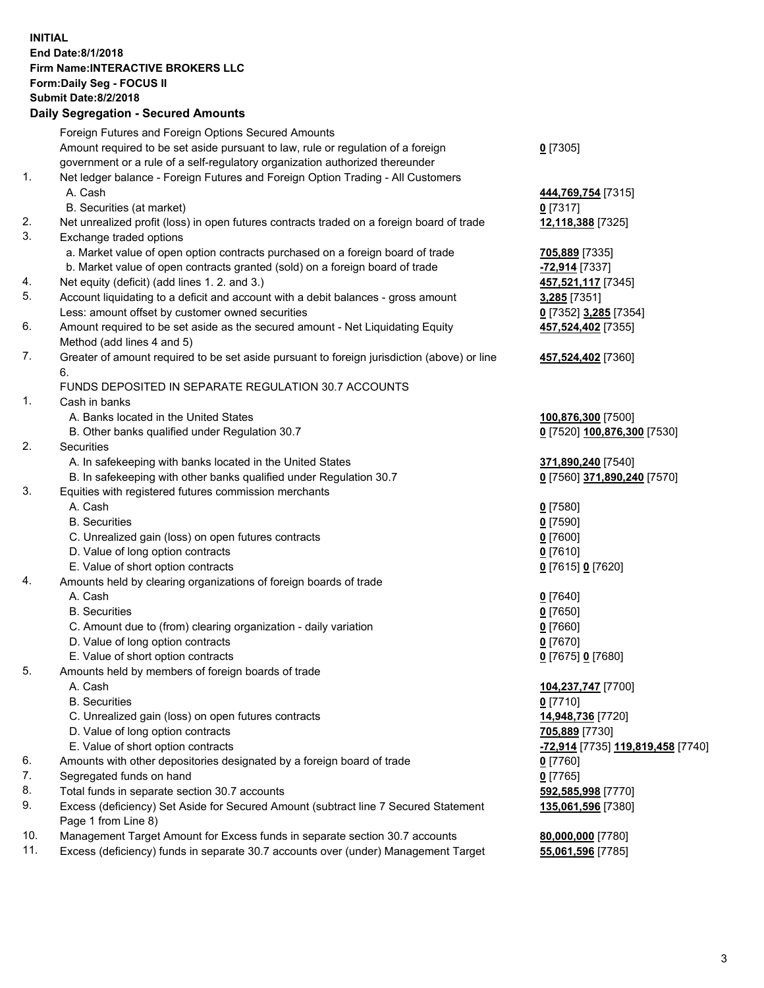## **INITIAL End Date:8/1/2018 Firm Name:INTERACTIVE BROKERS LLC Form:Daily Seg - FOCUS II Submit Date:8/2/2018 Daily Segregation - Secured Amounts**

|     | 2011, Ocglegation - Oceaned Anioanto                                                                       |                                                       |
|-----|------------------------------------------------------------------------------------------------------------|-------------------------------------------------------|
|     | Foreign Futures and Foreign Options Secured Amounts                                                        |                                                       |
|     | Amount required to be set aside pursuant to law, rule or regulation of a foreign                           | $0$ [7305]                                            |
|     | government or a rule of a self-regulatory organization authorized thereunder                               |                                                       |
| 1.  | Net ledger balance - Foreign Futures and Foreign Option Trading - All Customers                            |                                                       |
|     | A. Cash                                                                                                    | 444,769,754 [7315]                                    |
|     | B. Securities (at market)                                                                                  | $0$ [7317]                                            |
| 2.  | Net unrealized profit (loss) in open futures contracts traded on a foreign board of trade                  | 12,118,388 [7325]                                     |
| 3.  | Exchange traded options                                                                                    |                                                       |
|     | a. Market value of open option contracts purchased on a foreign board of trade                             | 705,889 [7335]                                        |
|     | b. Market value of open contracts granted (sold) on a foreign board of trade                               | -72,914 [7337]                                        |
| 4.  | Net equity (deficit) (add lines 1. 2. and 3.)                                                              | 457,521,117 [7345]                                    |
| 5.  | Account liquidating to a deficit and account with a debit balances - gross amount                          | 3,285 [7351]                                          |
|     | Less: amount offset by customer owned securities                                                           | 0 [7352] 3,285 [7354]                                 |
| 6.  | Amount required to be set aside as the secured amount - Net Liquidating Equity                             | 457,524,402 [7355]                                    |
|     | Method (add lines 4 and 5)                                                                                 |                                                       |
| 7.  | Greater of amount required to be set aside pursuant to foreign jurisdiction (above) or line                | 457,524,402 [7360]                                    |
|     | 6.                                                                                                         |                                                       |
|     | FUNDS DEPOSITED IN SEPARATE REGULATION 30.7 ACCOUNTS                                                       |                                                       |
| 1.  | Cash in banks                                                                                              |                                                       |
|     | A. Banks located in the United States                                                                      | 100,876,300 [7500]                                    |
|     | B. Other banks qualified under Regulation 30.7                                                             | 0 [7520] 100,876,300 [7530]                           |
| 2.  | Securities                                                                                                 |                                                       |
|     | A. In safekeeping with banks located in the United States                                                  | 371,890,240 [7540]                                    |
|     | B. In safekeeping with other banks qualified under Regulation 30.7                                         | 0 [7560] 371,890,240 [7570]                           |
| 3.  | Equities with registered futures commission merchants                                                      |                                                       |
|     | A. Cash                                                                                                    | $0$ [7580]                                            |
|     | <b>B.</b> Securities                                                                                       | $0$ [7590]                                            |
|     | C. Unrealized gain (loss) on open futures contracts                                                        | $0$ [7600]                                            |
|     | D. Value of long option contracts                                                                          | $0$ [7610]                                            |
|     | E. Value of short option contracts                                                                         | 0 [7615] 0 [7620]                                     |
| 4.  | Amounts held by clearing organizations of foreign boards of trade                                          |                                                       |
|     | A. Cash                                                                                                    | $0$ [7640]                                            |
|     | <b>B.</b> Securities                                                                                       | $0$ [7650]                                            |
|     | C. Amount due to (from) clearing organization - daily variation                                            | $0$ [7660]                                            |
|     | D. Value of long option contracts                                                                          | $0$ [7670]                                            |
|     | E. Value of short option contracts                                                                         | 0 [7675] 0 [7680]                                     |
| 5.  | Amounts held by members of foreign boards of trade                                                         |                                                       |
|     | A. Cash                                                                                                    | 104,237,747 [7700]                                    |
|     | <b>B.</b> Securities                                                                                       | $0$ [7710]                                            |
|     | C. Unrealized gain (loss) on open futures contracts                                                        | 14,948,736 [7720]                                     |
|     | D. Value of long option contracts                                                                          | 705,889 [7730]                                        |
|     | E. Value of short option contracts                                                                         | <mark>-72,914</mark> [7735] <u>119,819,458</u> [7740] |
| 6.  | Amounts with other depositories designated by a foreign board of trade                                     | 0 [7760]                                              |
| 7.  | Segregated funds on hand                                                                                   | $0$ [7765]                                            |
| 8.  | Total funds in separate section 30.7 accounts                                                              | 592,585,998 [7770]                                    |
| 9.  | Excess (deficiency) Set Aside for Secured Amount (subtract line 7 Secured Statement<br>Page 1 from Line 8) | 135,061,596 [7380]                                    |
| 10. | Management Target Amount for Excess funds in separate section 30.7 accounts                                | 80,000,000 [7780]                                     |
| 11. | Excess (deficiency) funds in separate 30.7 accounts over (under) Management Target                         | 55,061,596 [7785]                                     |
|     |                                                                                                            |                                                       |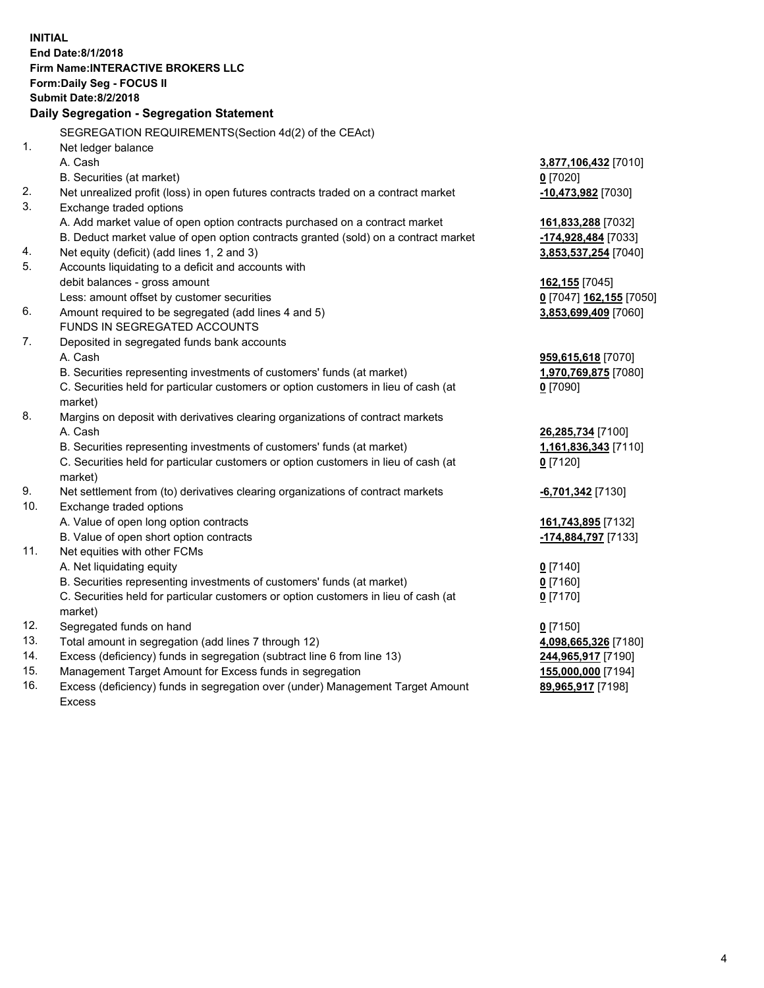|     | <b>INITIAL</b>                                                                                                                                                |                          |
|-----|---------------------------------------------------------------------------------------------------------------------------------------------------------------|--------------------------|
|     | End Date: 8/1/2018                                                                                                                                            |                          |
|     | <b>Firm Name:INTERACTIVE BROKERS LLC</b>                                                                                                                      |                          |
|     | Form: Daily Seg - FOCUS II                                                                                                                                    |                          |
|     | <b>Submit Date:8/2/2018</b>                                                                                                                                   |                          |
|     | Daily Segregation - Segregation Statement                                                                                                                     |                          |
|     | SEGREGATION REQUIREMENTS(Section 4d(2) of the CEAct)                                                                                                          |                          |
| 1.  | Net ledger balance                                                                                                                                            |                          |
|     | A. Cash                                                                                                                                                       | 3,877,106,432 [7010]     |
|     | B. Securities (at market)                                                                                                                                     | $0$ [7020]               |
| 2.  | Net unrealized profit (loss) in open futures contracts traded on a contract market                                                                            | -10,473,982 [7030]       |
| 3.  | Exchange traded options                                                                                                                                       |                          |
|     | A. Add market value of open option contracts purchased on a contract market                                                                                   | 161,833,288 [7032]       |
|     | B. Deduct market value of open option contracts granted (sold) on a contract market                                                                           | -174,928,484 [7033]      |
| 4.  | Net equity (deficit) (add lines 1, 2 and 3)                                                                                                                   | 3,853,537,254 [7040]     |
| 5.  | Accounts liquidating to a deficit and accounts with                                                                                                           |                          |
|     | debit balances - gross amount                                                                                                                                 | 162,155 [7045]           |
|     | Less: amount offset by customer securities                                                                                                                    | 0 [7047] 162,155 [7050]  |
| 6.  | Amount required to be segregated (add lines 4 and 5)                                                                                                          | 3,853,699,409 [7060]     |
|     | FUNDS IN SEGREGATED ACCOUNTS                                                                                                                                  |                          |
| 7.  | Deposited in segregated funds bank accounts                                                                                                                   |                          |
|     | A. Cash                                                                                                                                                       | 959,615,618 [7070]       |
|     | B. Securities representing investments of customers' funds (at market)                                                                                        | 1,970,769,875 [7080]     |
|     | C. Securities held for particular customers or option customers in lieu of cash (at                                                                           | $0$ [7090]               |
|     | market)                                                                                                                                                       |                          |
| 8.  | Margins on deposit with derivatives clearing organizations of contract markets                                                                                |                          |
|     | A. Cash                                                                                                                                                       | 26,285,734 [7100]        |
|     | B. Securities representing investments of customers' funds (at market)                                                                                        | 1,161,836,343 [7110]     |
|     | C. Securities held for particular customers or option customers in lieu of cash (at                                                                           | $0$ [7120]               |
|     | market)                                                                                                                                                       |                          |
| 9.  | Net settlement from (to) derivatives clearing organizations of contract markets                                                                               | <b>-6,701,342</b> [7130] |
| 10. | Exchange traded options                                                                                                                                       |                          |
|     | A. Value of open long option contracts                                                                                                                        | 161,743,895 [7132]       |
|     | B. Value of open short option contracts                                                                                                                       | -174,884,797 [7133]      |
| 11. | Net equities with other FCMs                                                                                                                                  |                          |
|     | A. Net liquidating equity                                                                                                                                     | $0$ [7140]               |
|     | B. Securities representing investments of customers' funds (at market)<br>C. Securities held for particular customers or option customers in lieu of cash (at | $0$ [7160]<br>$0$ [7170] |
|     | market)                                                                                                                                                       |                          |
| 12. | Segregated funds on hand                                                                                                                                      | $0$ [7150]               |
| 13. | Total amount in segregation (add lines 7 through 12)                                                                                                          | 4,098,665,326 [7180]     |
| 14. | Excess (deficiency) funds in segregation (subtract line 6 from line 13)                                                                                       | 244,965,917 [7190]       |
| 15. | Management Target Amount for Excess funds in segregation                                                                                                      | 155,000,000 [7194]       |
| 16. | Excess (deficiency) funds in segregation over (under) Management Target Amount                                                                                | 89,965,917 [7198]        |

16. Excess (deficiency) funds in segregation over (under) Management Target Amount Excess